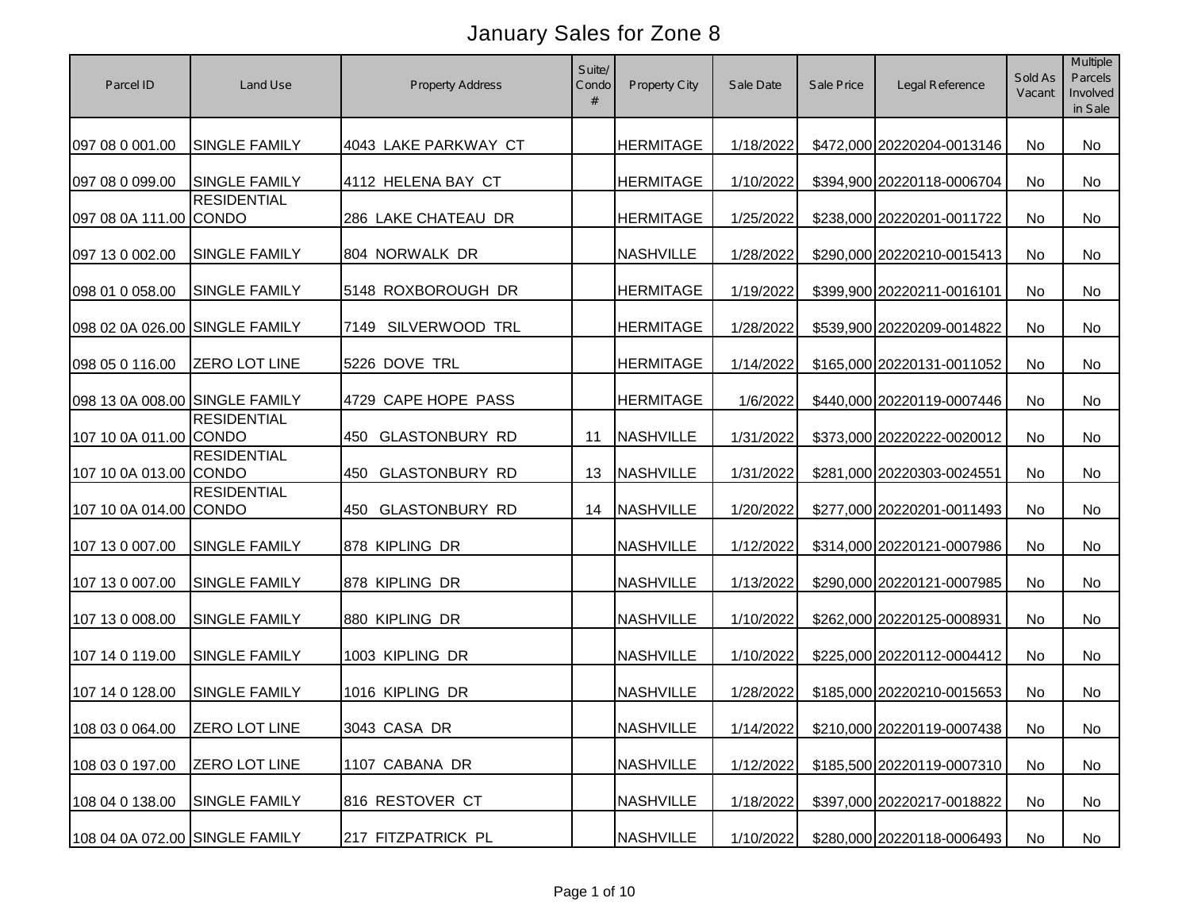| Parcel ID                      | Land Use             | <b>Property Address</b>      | Suite/<br>Condo<br># | Property City    | Sale Date | Sale Price | Legal Reference                      | Sold As<br>Vacant | Multiple<br>Parcels<br>Involved<br>in Sale |
|--------------------------------|----------------------|------------------------------|----------------------|------------------|-----------|------------|--------------------------------------|-------------------|--------------------------------------------|
| 097 08 0 001.00                | <b>SINGLE FAMILY</b> | 4043 LAKE PARKWAY CT         |                      | <b>HERMITAGE</b> | 1/18/2022 |            | \$472,000 20220204-0013146           | No                | No                                         |
| 097 08 0 099.00                | <b>SINGLE FAMILY</b> | 4112 HELENA BAY CT           |                      | <b>HERMITAGE</b> | 1/10/2022 |            | \$394,900 20220118-0006704           | No                | <b>No</b>                                  |
| 097 08 0A 111.00 CONDO         | <b>RESIDENTIAL</b>   | 286 LAKE CHATEAU DR          |                      | <b>HERMITAGE</b> | 1/25/2022 |            | \$238,000 20220201-0011722           | <b>No</b>         | <b>No</b>                                  |
| 097 13 0 002.00                | <b>SINGLE FAMILY</b> | 804 NORWALK DR               |                      | <b>NASHVILLE</b> | 1/28/2022 |            | \$290,000 20220210-0015413           | No                | No                                         |
| 098 01 0 058.00                | <b>SINGLE FAMILY</b> | 5148 ROXBOROUGH DR           |                      | <b>HERMITAGE</b> | 1/19/2022 |            | \$399,900 20220211-0016101           | No                | No                                         |
| 098 02 0A 026.00 SINGLE FAMILY |                      | SILVERWOOD TRL<br>7149       |                      | <b>HERMITAGE</b> | 1/28/2022 |            | \$539,900 20220209-0014822           | No                | No                                         |
| 098 05 0 116.00                | <b>ZERO LOT LINE</b> | 5226 DOVE TRL                |                      | <b>HERMITAGE</b> | 1/14/2022 |            | \$165,000 20220131-0011052           | No                | No                                         |
| 098 13 0A 008.00 SINGLE FAMILY |                      | 4729 CAPE HOPE PASS          |                      | <b>HERMITAGE</b> | 1/6/2022  |            | \$440,000 20220119-0007446           | <b>No</b>         | <b>No</b>                                  |
| 107 10 0A 011.00 CONDO         | <b>RESIDENTIAL</b>   | <b>GLASTONBURY RD</b><br>450 | 11                   | <b>NASHVILLE</b> | 1/31/2022 |            | \$373,000 20220222-0020012           | No                | <b>No</b>                                  |
| 107 10 0A 013.00 CONDO         | <b>RESIDENTIAL</b>   | <b>GLASTONBURY RD</b><br>450 | 13                   | <b>NASHVILLE</b> | 1/31/2022 |            | \$281,000 20220303-0024551           | No                | No                                         |
| 107 10 0A 014.00 CONDO         | <b>RESIDENTIAL</b>   | 450 GLASTONBURY RD           | 14                   | <b>NASHVILLE</b> | 1/20/2022 |            | \$277,000 20220201-0011493           | <b>No</b>         | No                                         |
| 107 13 0 007.00                | <b>SINGLE FAMILY</b> | 878 KIPLING DR               |                      | <b>NASHVILLE</b> | 1/12/2022 |            | \$314,000 20220121-0007986           | <b>No</b>         | No                                         |
| 107 13 0 007.00                | <b>SINGLE FAMILY</b> | 878 KIPLING DR               |                      | <b>NASHVILLE</b> | 1/13/2022 |            | \$290,000 20220121-0007985           | <b>No</b>         | No                                         |
| 107 13 0 008.00                | <b>SINGLE FAMILY</b> | 880 KIPLING DR               |                      | <b>NASHVILLE</b> | 1/10/2022 |            | \$262,000 20220125-0008931           | <b>No</b>         | No                                         |
| 107 14 0 119.00                | <b>SINGLE FAMILY</b> | 1003 KIPLING DR              |                      | <b>NASHVILLE</b> | 1/10/2022 |            | \$225,000 20220112-0004412           | <b>No</b>         | No                                         |
| 107 14 0 128.00                | <b>SINGLE FAMILY</b> | 1016 KIPLING DR              |                      | <b>NASHVILLE</b> | 1/28/2022 |            | \$185,000 20220210-0015653           | No                | No                                         |
| 108 03 0 064.00 ZERO LOT LINE  |                      | 3043 CASA DR                 |                      | <b>NASHVILLE</b> |           |            | 1/14/2022 \$210,000 20220119-0007438 | No                | No                                         |
| 108 03 0 197.00                | <b>ZERO LOT LINE</b> | 1107 CABANA DR               |                      | <b>NASHVILLE</b> | 1/12/2022 |            | \$185,500 20220119-0007310           | No                | No                                         |
| 108 04 0 138.00                | <b>SINGLE FAMILY</b> | 816 RESTOVER CT              |                      | <b>NASHVILLE</b> | 1/18/2022 |            | \$397,000 20220217-0018822           | No                | No                                         |
| 108 04 0A 072.00 SINGLE FAMILY |                      | 217 FITZPATRICK PL           |                      | <b>NASHVILLE</b> | 1/10/2022 |            | \$280,000 20220118-0006493           | No                | No                                         |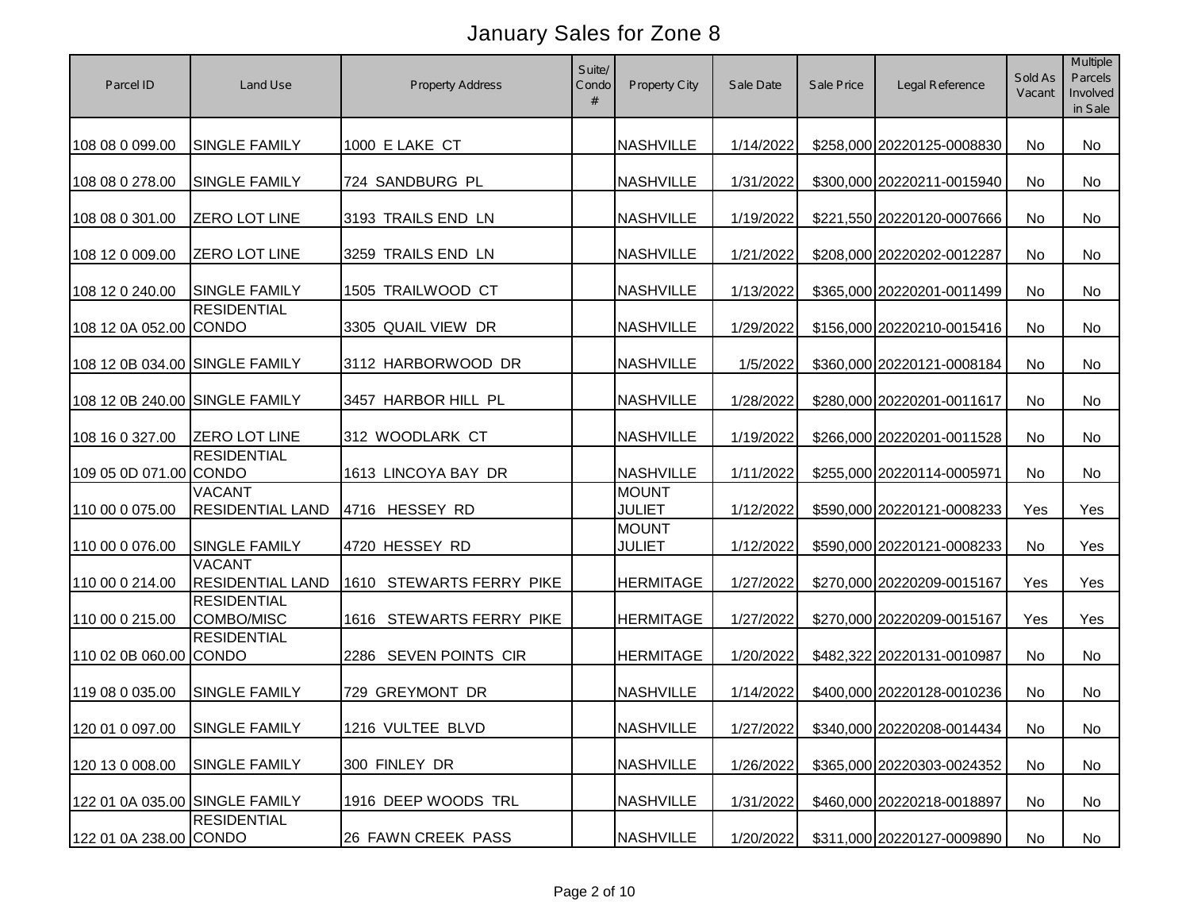| Parcel ID                      | Land Use                                 | <b>Property Address</b>     | Suite/<br>Condo<br># | Property City                 | Sale Date | Sale Price | Legal Reference                      | Sold As<br>Vacant | Multiple<br>Parcels<br>Involved<br>in Sale |
|--------------------------------|------------------------------------------|-----------------------------|----------------------|-------------------------------|-----------|------------|--------------------------------------|-------------------|--------------------------------------------|
| 108 08 0 099.00                | SINGLE FAMILY                            | 1000 E LAKE CT              |                      | <b>NASHVILLE</b>              | 1/14/2022 |            | \$258,000 20220125-0008830           | No                | No                                         |
| 108 08 0 278.00                | SINGLE FAMILY                            | 724 SANDBURG PL             |                      | <b>NASHVILLE</b>              | 1/31/2022 |            | \$300,000 20220211-0015940           | No                | <b>No</b>                                  |
| 108 08 0 301.00                | <b>ZERO LOT LINE</b>                     | 3193 TRAILS END LN          |                      | <b>NASHVILLE</b>              | 1/19/2022 |            | \$221,550 20220120-0007666           | No                | No                                         |
| 108 12 0 009.00                | <b>ZERO LOT LINE</b>                     | 3259 TRAILS END LN          |                      | <b>NASHVILLE</b>              | 1/21/2022 |            | \$208,000 20220202-0012287           | No                | <b>No</b>                                  |
| 108 12 0 240.00                | <b>SINGLE FAMILY</b>                     | 1505 TRAILWOOD CT           |                      | <b>NASHVILLE</b>              | 1/13/2022 |            | \$365,000 20220201-0011499           | No                | No                                         |
| 108 12 0A 052.00 CONDO         | <b>RESIDENTIAL</b>                       | 3305 QUAIL VIEW DR          |                      | <b>NASHVILLE</b>              | 1/29/2022 |            | \$156,000 20220210-0015416           | No                | No                                         |
| 108 12 0B 034.00 SINGLE FAMILY |                                          | 3112 HARBORWOOD DR          |                      | <b>NASHVILLE</b>              | 1/5/2022  |            | \$360,000 20220121-0008184           | No                | <b>No</b>                                  |
| 108 12 0B 240.00 SINGLE FAMILY |                                          | 3457 HARBOR HILL PL         |                      | <b>NASHVILLE</b>              | 1/28/2022 |            | \$280,000 20220201-0011617           | No                | No                                         |
| 108 16 0 327.00                | <b>ZERO LOT LINE</b>                     | 312 WOODLARK CT             |                      | <b>NASHVILLE</b>              | 1/19/2022 |            | \$266,000 20220201-0011528           | No                | <b>No</b>                                  |
| 109 05 0D 071.00 CONDO         | <b>RESIDENTIAL</b>                       | 1613 LINCOYA BAY DR         |                      | <b>NASHVILLE</b>              | 1/11/2022 |            | \$255,000 20220114-0005971           | No                | <b>No</b>                                  |
| 110 00 0 075.00                | <b>VACANT</b><br><b>RESIDENTIAL LAND</b> | 4716 HESSEY RD              |                      | <b>MOUNT</b><br><b>JULIET</b> | 1/12/2022 |            | \$590,000 20220121-0008233           | Yes               | Yes                                        |
| 110 00 0 076.00                | <b>SINGLE FAMILY</b>                     | 4720 HESSEY RD              |                      | <b>MOUNT</b><br><b>JULIET</b> | 1/12/2022 |            | \$590,000 20220121-0008233           | No                | Yes                                        |
| 110 00 0 214.00                | <b>VACANT</b><br><b>RESIDENTIAL LAND</b> | STEWARTS FERRY PIKE<br>1610 |                      | <b>HERMITAGE</b>              | 1/27/2022 |            | \$270,000 20220209-0015167           | Yes               | Yes                                        |
| 110 00 0 215.00                | <b>RESIDENTIAL</b><br>COMBO/MISC         | 1616 STEWARTS FERRY PIKE    |                      | <b>HERMITAGE</b>              | 1/27/2022 |            | \$270,000 20220209-0015167           | Yes               | Yes                                        |
| 110 02 0B 060.00 CONDO         | <b>RESIDENTIAL</b>                       | 2286 SEVEN POINTS CIR       |                      | <b>HERMITAGE</b>              | 1/20/2022 |            | \$482,322 20220131-0010987           | <b>No</b>         | No                                         |
| 119 08 0 035.00                | <b>SINGLE FAMILY</b>                     | 729 GREYMONT DR             |                      | <b>NASHVILLE</b>              | 1/14/2022 |            | \$400,000 20220128-0010236           | No                | No                                         |
|                                | 120 01 0 097.00 SINGLE FAMILY            | 1216 VULTEE BLVD            |                      | <b>NASHVILLE</b>              |           |            | 1/27/2022 \$340,000 20220208-0014434 | No                | No                                         |
| 120 13 0 008.00                | <b>SINGLE FAMILY</b>                     | 300 FINLEY DR               |                      | <b>NASHVILLE</b>              | 1/26/2022 |            | \$365,000 20220303-0024352           | No                | No                                         |
| 122 01 0A 035.00 SINGLE FAMILY |                                          | 1916 DEEP WOODS TRL         |                      | <b>NASHVILLE</b>              | 1/31/2022 |            | \$460,000 20220218-0018897           | No                | No                                         |
| 122 01 0A 238.00 CONDO         | <b>RESIDENTIAL</b>                       | 26 FAWN CREEK PASS          |                      | <b>NASHVILLE</b>              | 1/20/2022 |            | \$311,000 20220127-0009890           | No                | No                                         |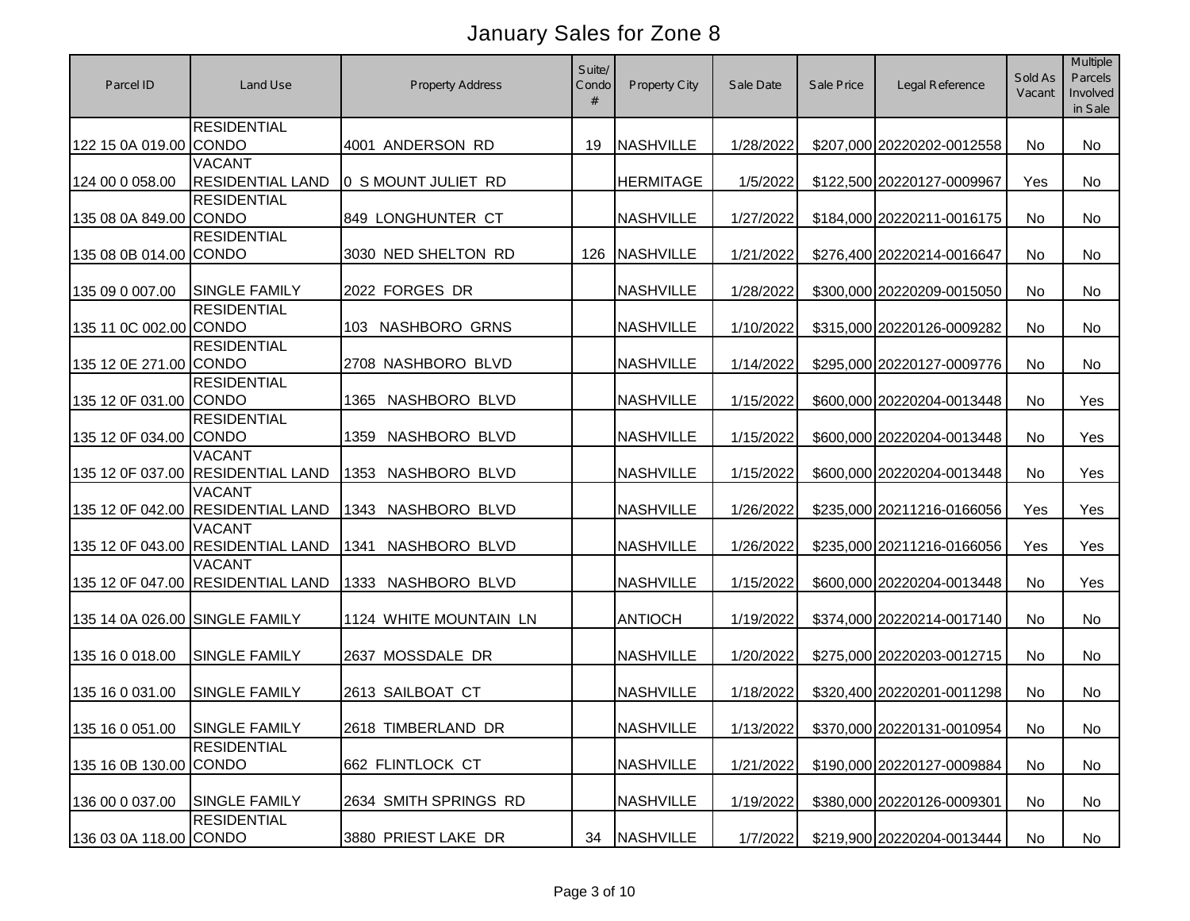| Parcel ID                      | Land Use                                           | <b>Property Address</b> | Suite/<br>Condo<br># | Property City    | Sale Date | Sale Price | Legal Reference                      | Sold As<br>Vacant | Multiple<br>Parcels<br>Involved<br>in Sale |
|--------------------------------|----------------------------------------------------|-------------------------|----------------------|------------------|-----------|------------|--------------------------------------|-------------------|--------------------------------------------|
| 122 15 0A 019.00 CONDO         | <b>RESIDENTIAL</b>                                 | 4001 ANDERSON RD        | 19                   | <b>NASHVILLE</b> | 1/28/2022 |            | \$207,000 20220202-0012558           | No                | No                                         |
| 124 00 0 058.00                | <b>VACANT</b><br><b>RESIDENTIAL LAND</b>           | 0 S MOUNT JULIET RD     |                      | <b>HERMITAGE</b> | 1/5/2022  |            | \$122,500 20220127-0009967           | Yes               | <b>No</b>                                  |
| 135 08 0A 849.00 CONDO         | <b>RESIDENTIAL</b>                                 | 849 LONGHUNTER CT       |                      | <b>NASHVILLE</b> | 1/27/2022 |            | \$184,000 20220211-0016175           | <b>No</b>         | <b>No</b>                                  |
| 135 08 0B 014.00 CONDO         | <b>RESIDENTIAL</b>                                 | 3030 NED SHELTON RD     | 126                  | <b>NASHVILLE</b> | 1/21/2022 |            | \$276,400 20220214-0016647           | No                | No                                         |
| 135 09 0 007.00                | <b>SINGLE FAMILY</b>                               | 2022 FORGES DR          |                      | <b>NASHVILLE</b> | 1/28/2022 |            | \$300,000 20220209-0015050           | No                | <b>No</b>                                  |
| 135 11 0C 002.00 CONDO         | <b>RESIDENTIAL</b>                                 | 103 NASHBORO GRNS       |                      | <b>NASHVILLE</b> | 1/10/2022 |            | \$315,000 20220126-0009282           | No                | <b>No</b>                                  |
| 135 12 0E 271.00 CONDO         | <b>RESIDENTIAL</b>                                 | 2708 NASHBORO BLVD      |                      | <b>NASHVILLE</b> | 1/14/2022 |            | \$295,000 20220127-0009776           | <b>No</b>         | <b>No</b>                                  |
| 135 12 0F 031.00 CONDO         | <b>RESIDENTIAL</b>                                 | NASHBORO BLVD<br>1365   |                      | <b>NASHVILLE</b> | 1/15/2022 |            | \$600,000 20220204-0013448           | <b>No</b>         | Yes                                        |
| 135 12 0F 034.00 CONDO         | <b>RESIDENTIAL</b>                                 | NASHBORO BLVD<br>1359   |                      | <b>NASHVILLE</b> | 1/15/2022 |            | \$600,000 20220204-0013448           | <b>No</b>         | Yes                                        |
|                                | VACANT<br>135 12 0F 037.00 RESIDENTIAL LAND        | NASHBORO BLVD<br>1353   |                      | <b>NASHVILLE</b> | 1/15/2022 |            | \$600,000 20220204-0013448           | No                | Yes                                        |
|                                | <b>VACANT</b><br>135 12 0F 042.00 RESIDENTIAL LAND | NASHBORO BLVD<br>1343   |                      | <b>NASHVILLE</b> | 1/26/2022 |            | \$235,000 20211216-0166056           | Yes               | Yes                                        |
|                                | <b>VACANT</b><br>135 12 0F 043.00 RESIDENTIAL LAND | NASHBORO BLVD<br>1341   |                      | <b>NASHVILLE</b> | 1/26/2022 |            | \$235,000 20211216-0166056           | Yes               | Yes                                        |
|                                | <b>VACANT</b><br>135 12 0F 047.00 RESIDENTIAL LAND | 1333 NASHBORO BLVD      |                      | <b>NASHVILLE</b> | 1/15/2022 |            | \$600,000 20220204-0013448           | <b>No</b>         | Yes                                        |
| 135 14 0A 026.00 SINGLE FAMILY |                                                    | 1124 WHITE MOUNTAIN LN  |                      | <b>ANTIOCH</b>   | 1/19/2022 |            | \$374,000 20220214-0017140           | <b>No</b>         | No                                         |
| 135 16 0 018.00                | <b>SINGLE FAMILY</b>                               | 2637 MOSSDALE DR        |                      | <b>NASHVILLE</b> | 1/20/2022 |            | \$275,000 20220203-0012715           | <b>No</b>         | No                                         |
| 135 16 0 031.00                | <b>SINGLE FAMILY</b>                               | 2613 SAILBOAT CT        |                      | <b>NASHVILLE</b> | 1/18/2022 |            | \$320,400 20220201-0011298           | <b>No</b>         | No                                         |
| 135 16 0 051.00 SINGLE FAMILY  |                                                    | 2618 TIMBERLAND DR      |                      | <b>NASHVILLE</b> |           |            | 1/13/2022 \$370,000 20220131-0010954 | No                | No                                         |
| 135 16 0B 130.00 CONDO         | <b>RESIDENTIAL</b>                                 | 662 FLINTLOCK CT        |                      | <b>NASHVILLE</b> | 1/21/2022 |            | \$190,000 20220127-0009884           | No                | No                                         |
| 136 00 0 037.00                | <b>SINGLE FAMILY</b>                               | 2634 SMITH SPRINGS RD   |                      | <b>NASHVILLE</b> | 1/19/2022 |            | \$380,000 20220126-0009301           | No                | No                                         |
| 136 03 0A 118.00 CONDO         | <b>RESIDENTIAL</b>                                 | 3880 PRIEST LAKE DR     | 34                   | <b>NASHVILLE</b> | 1/7/2022  |            | \$219,900 20220204-0013444           | No                | No                                         |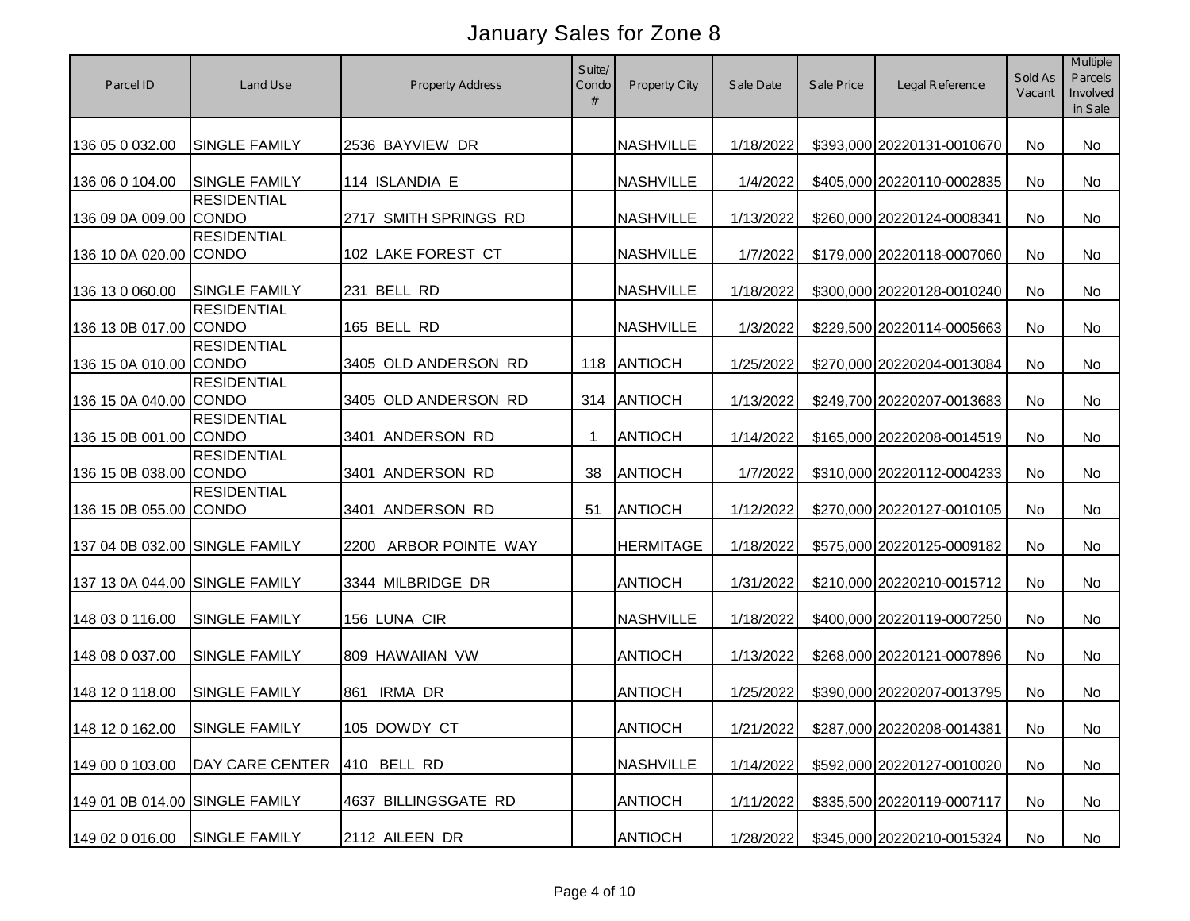| Parcel ID                      | Land Use               | <b>Property Address</b>  | Suite/<br>Condo<br># | Property City    | Sale Date | Sale Price | Legal Reference                      | Sold As<br>Vacant | Multiple<br>Parcels<br>Involved<br>in Sale |
|--------------------------------|------------------------|--------------------------|----------------------|------------------|-----------|------------|--------------------------------------|-------------------|--------------------------------------------|
| 136 05 0 032.00                | <b>SINGLE FAMILY</b>   | 2536 BAYVIEW DR          |                      | <b>NASHVILLE</b> | 1/18/2022 |            | \$393,000 20220131-0010670           | No                | No                                         |
| 136 06 0 104.00                | <b>SINGLE FAMILY</b>   | 114 ISLANDIA E           |                      | <b>NASHVILLE</b> | 1/4/2022  |            | \$405,000 20220110-0002835           | No                | <b>No</b>                                  |
| 136 09 0A 009.00 CONDO         | <b>RESIDENTIAL</b>     | 2717 SMITH SPRINGS RD    |                      | <b>NASHVILLE</b> | 1/13/2022 |            | \$260,000 20220124-0008341           | No                | No                                         |
| 136 10 0A 020.00 CONDO         | <b>RESIDENTIAL</b>     | 102 LAKE FOREST CT       |                      | <b>NASHVILLE</b> | 1/7/2022  |            | \$179,000 20220118-0007060           | No                | <b>No</b>                                  |
| 136 13 0 060.00                | <b>SINGLE FAMILY</b>   | 231 BELL RD              |                      | <b>NASHVILLE</b> | 1/18/2022 |            | \$300,000 20220128-0010240           | No                | No                                         |
| 136 13 0B 017.00 CONDO         | <b>RESIDENTIAL</b>     | 165 BELL RD              |                      | <b>NASHVILLE</b> | 1/3/2022  |            | \$229,500 20220114-0005663           | No                | No                                         |
| 136 15 0A 010.00 CONDO         | <b>RESIDENTIAL</b>     | 3405 OLD ANDERSON RD     | 118                  | ANTIOCH          | 1/25/2022 |            | \$270,000 20220204-0013084           | No                | No                                         |
| 136 15 0A 040.00 CONDO         | <b>RESIDENTIAL</b>     | 3405 OLD ANDERSON RD     | 314                  | ANTIOCH          | 1/13/2022 |            | \$249,700 20220207-0013683           | No                | <b>No</b>                                  |
| 136 15 0B 001.00 CONDO         | <b>RESIDENTIAL</b>     | 3401 ANDERSON RD         | -1                   | <b>ANTIOCH</b>   | 1/14/2022 |            | \$165,000 20220208-0014519           | No                | <b>No</b>                                  |
| 136 15 0B 038.00 CONDO         | <b>RESIDENTIAL</b>     | 3401 ANDERSON RD         | 38                   | <b>ANTIOCH</b>   | 1/7/2022  |            | \$310,000 20220112-0004233           | No                | <b>No</b>                                  |
| 136 15 0B 055.00 CONDO         | <b>RESIDENTIAL</b>     | 3401 ANDERSON RD         | 51                   | <b>ANTIOCH</b>   | 1/12/2022 |            | \$270,000 20220127-0010105           | No                | No                                         |
| 137 04 0B 032.00 SINGLE FAMILY |                        | ARBOR POINTE WAY<br>2200 |                      | <b>HERMITAGE</b> | 1/18/2022 |            | \$575,000 20220125-0009182           | No                | No                                         |
| 137 13 0A 044.00 SINGLE FAMILY |                        | 3344 MILBRIDGE DR        |                      | <b>ANTIOCH</b>   | 1/31/2022 |            | \$210,000 20220210-0015712           | <b>No</b>         | No                                         |
| 148 03 0 116.00                | <b>SINGLE FAMILY</b>   | 156 LUNA CIR             |                      | <b>NASHVILLE</b> | 1/18/2022 |            | \$400,000 20220119-0007250           | <b>No</b>         | No                                         |
| 148 08 0 037.00                | <b>SINGLE FAMILY</b>   | 809 HAWAIIAN VW          |                      | <b>ANTIOCH</b>   | 1/13/2022 |            | \$268,000 20220121-0007896           | <b>No</b>         | No                                         |
| 148 12 0 118.00                | <b>SINGLE FAMILY</b>   | <b>IRMA DR</b><br>861    |                      | <b>ANTIOCH</b>   | 1/25/2022 |            | \$390,000 20220207-0013795           | No                | No                                         |
| 148 12 0 162.00                | SINGLE FAMILY          | 105 DOWDY CT             |                      | <b>ANTIOCH</b>   |           |            | 1/21/2022 \$287,000 20220208-0014381 | No                | No                                         |
| 149 00 0 103.00                | <b>DAY CARE CENTER</b> | 410 BELL RD              |                      | <b>NASHVILLE</b> | 1/14/2022 |            | \$592,000 20220127-0010020           | No                | No                                         |
| 149 01 0B 014.00 SINGLE FAMILY |                        | 4637 BILLINGSGATE RD     |                      | <b>ANTIOCH</b>   | 1/11/2022 |            | \$335,500 20220119-0007117           | No                | No                                         |
| 149 02 0 016.00                | SINGLE FAMILY          | 2112 AILEEN DR           |                      | <b>ANTIOCH</b>   | 1/28/2022 |            | \$345,000 20220210-0015324           | No                | No                                         |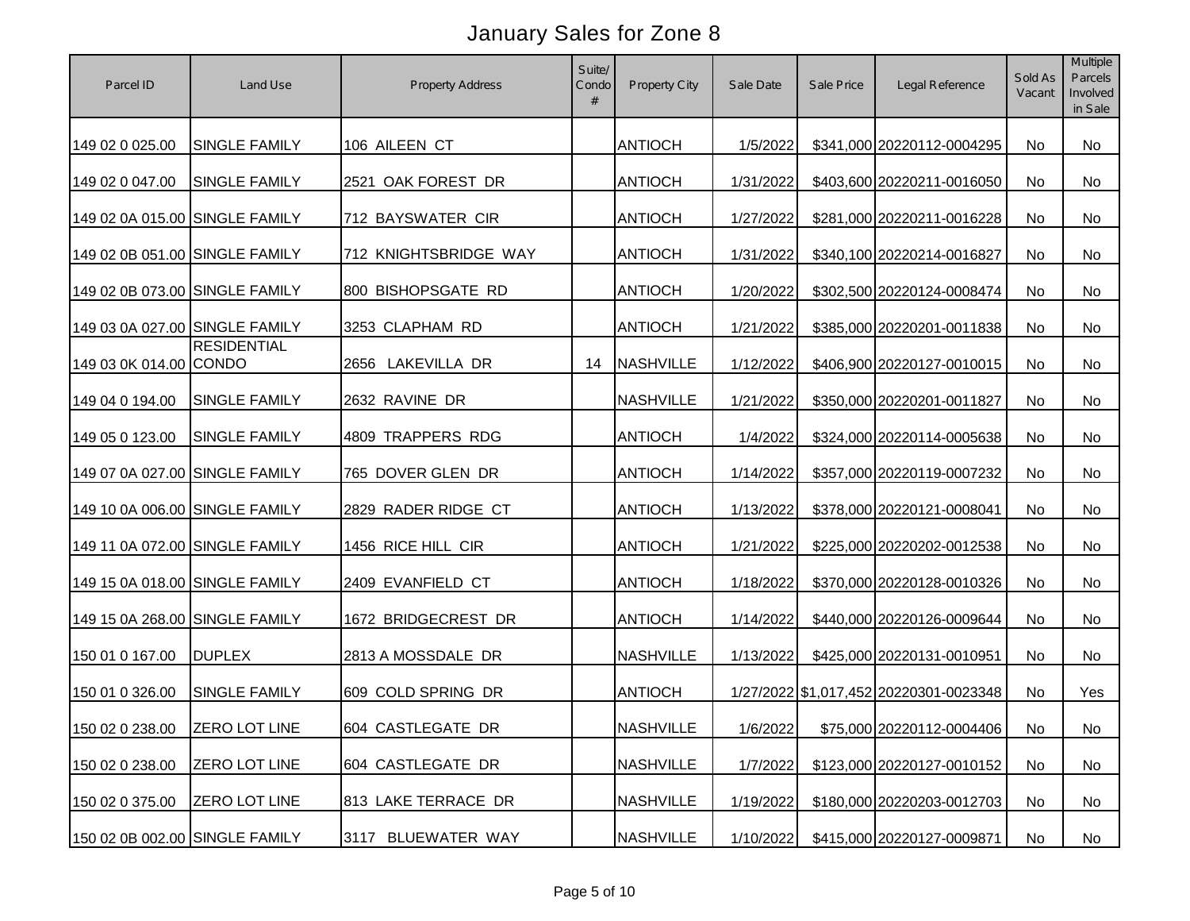| Parcel ID                      | Land Use             | <b>Property Address</b> | Suite/<br>Condo<br># | Property City    | Sale Date | Sale Price | Legal Reference                        | Sold As<br>Vacant | Multiple<br>Parcels<br>Involved<br>in Sale |
|--------------------------------|----------------------|-------------------------|----------------------|------------------|-----------|------------|----------------------------------------|-------------------|--------------------------------------------|
| 149 02 0 025.00                | SINGLE FAMILY        | 106 AILEEN CT           |                      | <b>ANTIOCH</b>   | 1/5/2022  |            | \$341,000 20220112-0004295             | No                | No                                         |
| 149 02 0 047.00                | <b>SINGLE FAMILY</b> | 2521 OAK FOREST DR      |                      | <b>ANTIOCH</b>   | 1/31/2022 |            | \$403,600 20220211-0016050             | No                | No                                         |
| 149 02 0A 015.00 SINGLE FAMILY |                      | 712 BAYSWATER CIR       |                      | <b>ANTIOCH</b>   | 1/27/2022 |            | \$281,000 20220211-0016228             | No                | No                                         |
| 149 02 0B 051.00 SINGLE FAMILY |                      | 712 KNIGHTSBRIDGE WAY   |                      | <b>ANTIOCH</b>   | 1/31/2022 |            | \$340,100 20220214-0016827             | No                | <b>No</b>                                  |
| 149 02 0B 073.00 SINGLE FAMILY |                      | 800 BISHOPSGATE RD      |                      | <b>ANTIOCH</b>   | 1/20/2022 |            | \$302,500 20220124-0008474             | No                | No                                         |
| 149 03 0A 027.00 SINGLE FAMILY |                      | 3253 CLAPHAM RD         |                      | <b>ANTIOCH</b>   | 1/21/2022 |            | \$385,000 20220201-0011838             | No                | No                                         |
| 149 03 0K 014.00 CONDO         | <b>RESIDENTIAL</b>   | 2656 LAKEVILLA DR       | 14                   | <b>NASHVILLE</b> | 1/12/2022 |            | \$406,900 20220127-0010015             | No                | <b>No</b>                                  |
| 149 04 0 194.00                | <b>SINGLE FAMILY</b> | 2632 RAVINE DR          |                      | <b>NASHVILLE</b> | 1/21/2022 |            | \$350,000 20220201-0011827             | No                | No                                         |
| 149 05 0 123.00                | <b>SINGLE FAMILY</b> | 4809 TRAPPERS RDG       |                      | <b>ANTIOCH</b>   | 1/4/2022  |            | \$324,000 20220114-0005638             | No                | No                                         |
| 149 07 0A 027.00 SINGLE FAMILY |                      | 765 DOVER GLEN DR       |                      | <b>ANTIOCH</b>   | 1/14/2022 |            | \$357,000 20220119-0007232             | No                | <b>No</b>                                  |
| 149 10 0A 006.00 SINGLE FAMILY |                      | 2829 RADER RIDGE CT     |                      | <b>ANTIOCH</b>   | 1/13/2022 |            | \$378,000 20220121-0008041             | No                | No                                         |
| 149 11 0A 072.00 SINGLE FAMILY |                      | 1456 RICE HILL CIR      |                      | <b>ANTIOCH</b>   | 1/21/2022 |            | \$225,000 20220202-0012538             | No                | No                                         |
| 149 15 0A 018.00 SINGLE FAMILY |                      | 2409 EVANFIELD CT       |                      | <b>ANTIOCH</b>   | 1/18/2022 |            | \$370,000 20220128-0010326             | <b>No</b>         | No                                         |
| 149 15 0A 268.00 SINGLE FAMILY |                      | 1672 BRIDGECREST DR     |                      | <b>ANTIOCH</b>   | 1/14/2022 |            | \$440,000 20220126-0009644             | <b>No</b>         | No                                         |
| 150 01 0 167.00                | <b>DUPLEX</b>        | 2813 A MOSSDALE DR      |                      | <b>NASHVILLE</b> | 1/13/2022 |            | \$425,000 20220131-0010951             | <b>No</b>         | No                                         |
| 150 01 0 326.00                | <b>SINGLE FAMILY</b> | 609 COLD SPRING DR      |                      | <b>ANTIOCH</b>   |           |            | 1/27/2022 \$1,017,452 20220301-0023348 | No                | Yes                                        |
| 150 02 0 238.00 ZERO LOT LINE  |                      | 604 CASTLEGATE DR       |                      | <b>NASHVILLE</b> | 1/6/2022  |            | \$75,000 20220112-0004406              | No                | No                                         |
| 150 02 0 238.00                | <b>ZERO LOT LINE</b> | 604 CASTLEGATE DR       |                      | <b>NASHVILLE</b> | 1/7/2022  |            | \$123,000 20220127-0010152             | No                | No                                         |
| 150 02 0 375.00                | <b>ZERO LOT LINE</b> | 813 LAKE TERRACE DR     |                      | <b>NASHVILLE</b> | 1/19/2022 |            | \$180,000 20220203-0012703             | No                | No                                         |
| 150 02 0B 002.00 SINGLE FAMILY |                      | 3117 BLUEWATER WAY      |                      | <b>NASHVILLE</b> | 1/10/2022 |            | \$415,000 20220127-0009871             | No                | No                                         |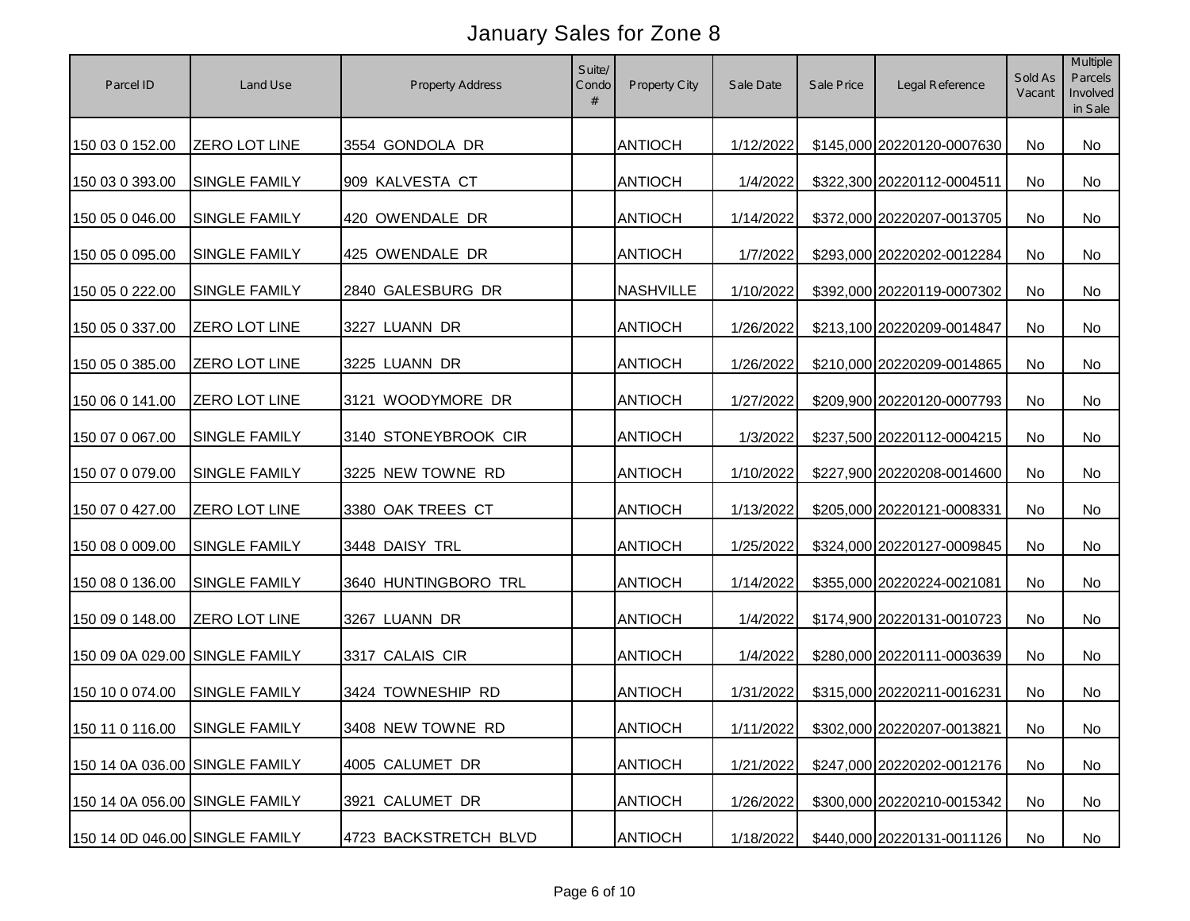| Parcel ID                      | Land Use                      | <b>Property Address</b> | Suite/<br>Condo<br># | <b>Property City</b> | Sale Date | Sale Price | Legal Reference                      | Sold As<br>Vacant | Multiple<br>Parcels<br>Involved<br>in Sale |
|--------------------------------|-------------------------------|-------------------------|----------------------|----------------------|-----------|------------|--------------------------------------|-------------------|--------------------------------------------|
| 150 03 0 152.00                | <b>ZERO LOT LINE</b>          | 3554 GONDOLA DR         |                      | <b>ANTIOCH</b>       | 1/12/2022 |            | \$145,000 20220120-0007630           | No                | No                                         |
| 150 03 0 393.00                | SINGLE FAMILY                 | 909 KALVESTA CT         |                      | <b>ANTIOCH</b>       | 1/4/2022  |            | \$322,300 20220112-0004511           | No                | <b>No</b>                                  |
| 150 05 0 046.00                | SINGLE FAMILY                 | 420 OWENDALE DR         |                      | <b>ANTIOCH</b>       | 1/14/2022 |            | \$372,000 20220207-0013705           | No                | <b>No</b>                                  |
| 150 05 0 095.00                | SINGLE FAMILY                 | 425 OWENDALE DR         |                      | <b>ANTIOCH</b>       | 1/7/2022  |            | \$293,000 20220202-0012284           | No                | No                                         |
| 150 05 0 222.00                | SINGLE FAMILY                 | 2840 GALESBURG DR       |                      | <b>NASHVILLE</b>     | 1/10/2022 |            | \$392,000 20220119-0007302           | No                | <b>No</b>                                  |
| 150 05 0 337.00                | <b>ZERO LOT LINE</b>          | 3227 LUANN DR           |                      | <b>ANTIOCH</b>       | 1/26/2022 |            | \$213,100 20220209-0014847           | No                | <b>No</b>                                  |
| 150 05 0 385.00                | <b>ZERO LOT LINE</b>          | 3225 LUANN DR           |                      | <b>ANTIOCH</b>       | 1/26/2022 |            | \$210,000 20220209-0014865           | No                | No                                         |
| 150 06 0 141.00                | ZERO LOT LINE                 | 3121 WOODYMORE DR       |                      | <b>ANTIOCH</b>       | 1/27/2022 |            | \$209,900 20220120-0007793           | <b>No</b>         | <b>No</b>                                  |
| 150 07 0 067.00                | <b>SINGLE FAMILY</b>          | 3140 STONEYBROOK CIR    |                      | <b>ANTIOCH</b>       | 1/3/2022  |            | \$237,500 20220112-0004215           | No                | <b>No</b>                                  |
| 150 07 0 079.00                | <b>SINGLE FAMILY</b>          | 3225 NEW TOWNE RD       |                      | <b>ANTIOCH</b>       | 1/10/2022 |            | \$227,900 20220208-0014600           | No                | No                                         |
| 150 07 0 427.00                | ZERO LOT LINE                 | 3380 OAK TREES CT       |                      | <b>ANTIOCH</b>       | 1/13/2022 |            | \$205,000 20220121-0008331           | <b>No</b>         | No                                         |
| 150 08 0 009.00                | SINGLE FAMILY                 | 3448 DAISY TRL          |                      | <b>ANTIOCH</b>       | 1/25/2022 |            | \$324,000 20220127-0009845           | <b>No</b>         | No                                         |
| 150 08 0 136.00                | <b>SINGLE FAMILY</b>          | 3640 HUNTINGBORO TRL    |                      | <b>ANTIOCH</b>       | 1/14/2022 |            | \$355,000 20220224-0021081           | <b>No</b>         | No                                         |
| 150 09 0 148.00                | ZERO LOT LINE                 | 3267 LUANN DR           |                      | <b>ANTIOCH</b>       | 1/4/2022  |            | \$174,900 20220131-0010723           | <b>No</b>         | No                                         |
| 150 09 0A 029.00 SINGLE FAMILY |                               | 3317 CALAIS CIR         |                      | <b>ANTIOCH</b>       | 1/4/2022  |            | \$280,000 20220111-0003639           | <b>No</b>         | No                                         |
| 150 10 0 074.00                | <b>SINGLE FAMILY</b>          | 3424 TOWNESHIP RD       |                      | <b>ANTIOCH</b>       | 1/31/2022 |            | \$315,000 20220211-0016231           | No                | No                                         |
|                                | 150 11 0 116.00 SINGLE FAMILY | 3408 NEW TOWNE RD       |                      | <b>ANTIOCH</b>       |           |            | 1/11/2022 \$302,000 20220207-0013821 | No                | No                                         |
| 150 14 0A 036.00 SINGLE FAMILY |                               | 4005 CALUMET DR         |                      | <b>ANTIOCH</b>       | 1/21/2022 |            | \$247,000 20220202-0012176           | No                | No                                         |
| 150 14 0A 056.00 SINGLE FAMILY |                               | 3921 CALUMET DR         |                      | <b>ANTIOCH</b>       | 1/26/2022 |            | \$300,000 20220210-0015342           | No                | No                                         |
| 150 14 0D 046.00 SINGLE FAMILY |                               | 4723 BACKSTRETCH BLVD   |                      | <b>ANTIOCH</b>       | 1/18/2022 |            | \$440,000 20220131-0011126           | No                | No                                         |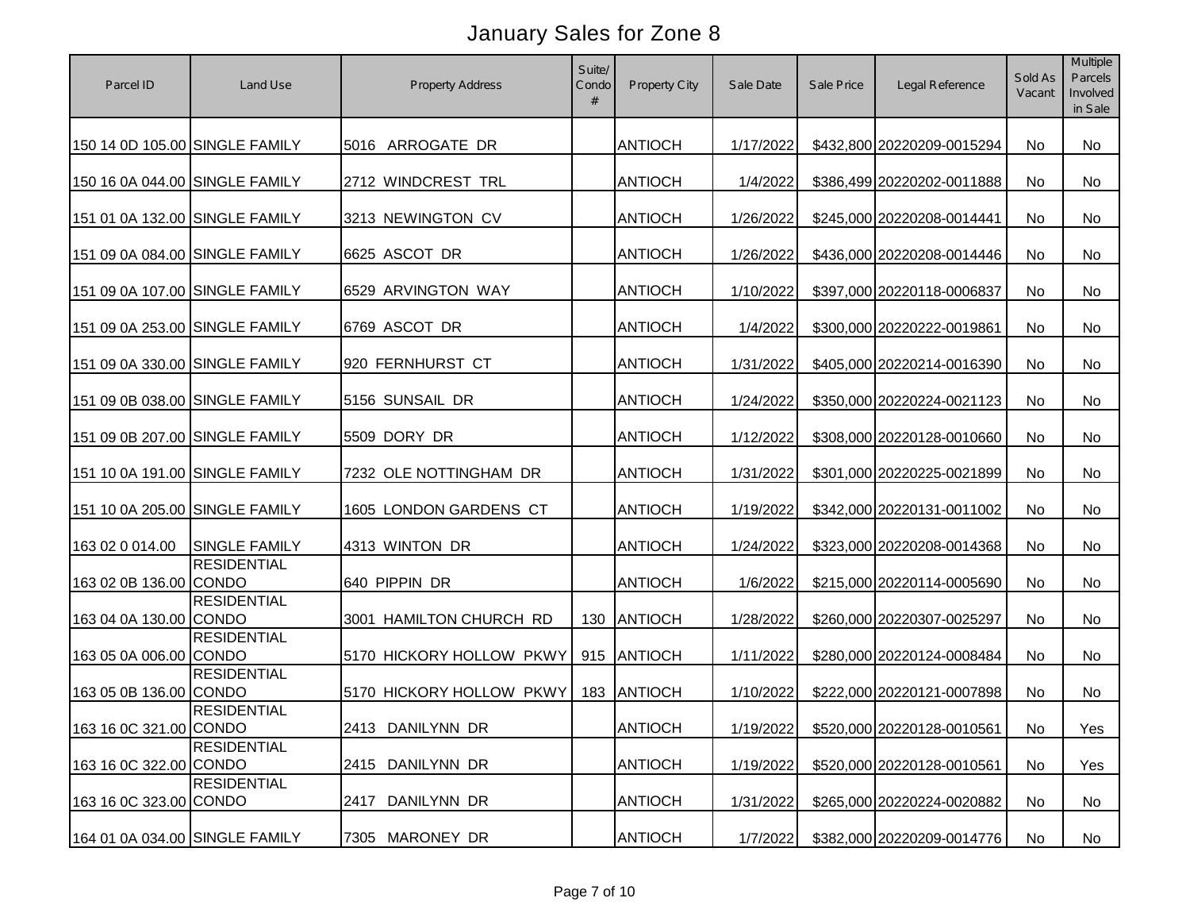| Parcel ID                      | Land Use             | <b>Property Address</b>  | Suite/<br>Condo<br># | Property City  | Sale Date | Sale Price | Legal Reference            | Sold As<br>Vacant | Multiple<br>Parcels<br>Involved<br>in Sale |
|--------------------------------|----------------------|--------------------------|----------------------|----------------|-----------|------------|----------------------------|-------------------|--------------------------------------------|
| 150 14 0D 105.00 SINGLE FAMILY |                      | 5016 ARROGATE DR         |                      | <b>ANTIOCH</b> | 1/17/2022 |            | \$432,800 20220209-0015294 | <b>No</b>         | No                                         |
| 150 16 0A 044.00 SINGLE FAMILY |                      | 2712 WINDCREST TRL       |                      | <b>ANTIOCH</b> | 1/4/2022  |            | \$386,499 20220202-0011888 | <b>No</b>         | <b>No</b>                                  |
| 151 01 0A 132.00 SINGLE FAMILY |                      | 3213 NEWINGTON CV        |                      | <b>ANTIOCH</b> | 1/26/2022 |            | \$245,000 20220208-0014441 | <b>No</b>         | <b>No</b>                                  |
| 151 09 0A 084.00 SINGLE FAMILY |                      | 6625 ASCOT DR            |                      | <b>ANTIOCH</b> | 1/26/2022 |            | \$436,000 20220208-0014446 | No                | <b>No</b>                                  |
| 151 09 0A 107.00 SINGLE FAMILY |                      | 6529 ARVINGTON WAY       |                      | <b>ANTIOCH</b> | 1/10/2022 |            | \$397,000 20220118-0006837 | <b>No</b>         | <b>No</b>                                  |
| 151 09 0A 253.00 SINGLE FAMILY |                      | 6769 ASCOT DR            |                      | <b>ANTIOCH</b> | 1/4/2022  |            | \$300,000 20220222-0019861 | <b>No</b>         | <b>No</b>                                  |
| 151 09 0A 330.00 SINGLE FAMILY |                      | 920 FERNHURST CT         |                      | <b>ANTIOCH</b> | 1/31/2022 |            | \$405,000 20220214-0016390 | No                | No                                         |
| 151 09 0B 038.00 SINGLE FAMILY |                      | 5156 SUNSAIL DR          |                      | <b>ANTIOCH</b> | 1/24/2022 |            | \$350,000 20220224-0021123 | <b>No</b>         | <b>No</b>                                  |
| 151 09 0B 207.00 SINGLE FAMILY |                      | 5509 DORY DR             |                      | <b>ANTIOCH</b> | 1/12/2022 |            | \$308,000 20220128-0010660 | <b>No</b>         | <b>No</b>                                  |
| 151 10 0A 191.00 SINGLE FAMILY |                      | 7232 OLE NOTTINGHAM DR   |                      | <b>ANTIOCH</b> | 1/31/2022 |            | \$301,000 20220225-0021899 | <b>No</b>         | No                                         |
| 151 10 0A 205.00 SINGLE FAMILY |                      | 1605 LONDON GARDENS CT   |                      | <b>ANTIOCH</b> | 1/19/2022 |            | \$342,000 20220131-0011002 | No                | No                                         |
| 163 02 0 014.00                | <b>SINGLE FAMILY</b> | 4313 WINTON DR           |                      | <b>ANTIOCH</b> | 1/24/2022 |            | \$323,000 20220208-0014368 | <b>No</b>         | <b>No</b>                                  |
| 163 02 0B 136.00 CONDO         | <b>RESIDENTIAL</b>   | 640 PIPPIN DR            |                      | <b>ANTIOCH</b> | 1/6/2022  |            | \$215,000 20220114-0005690 | <b>No</b>         | No                                         |
| 163 04 0A 130.00 CONDO         | <b>RESIDENTIAL</b>   | 3001 HAMILTON CHURCH RD  | 130                  | ANTIOCH        | 1/28/2022 |            | \$260,000 20220307-0025297 | No                | <b>No</b>                                  |
| 163 05 0A 006.00 CONDO         | <b>RESIDENTIAL</b>   | 5170 HICKORY HOLLOW PKWY | 915                  | ANTIOCH        | 1/11/2022 |            | \$280,000 20220124-0008484 | <b>No</b>         | <b>No</b>                                  |
| 163 05 0B 136.00 CONDO         | <b>RESIDENTIAL</b>   | 5170 HICKORY HOLLOW PKWY | 183                  | <b>ANTIOCH</b> | 1/10/2022 |            | \$222,000 20220121-0007898 | No.               | No                                         |
| 163 16 0C 321.00 CONDO         | <b>RESIDENTIAL</b>   | 2413 DANILYNN DR         |                      | <b>ANTIOCH</b> | 1/19/2022 |            | \$520,000 20220128-0010561 | No                | Yes                                        |
| 163 16 0C 322.00 CONDO         | <b>RESIDENTIAL</b>   | 2415 DANILYNN DR         |                      | <b>ANTIOCH</b> | 1/19/2022 |            | \$520,000 20220128-0010561 | No                | Yes                                        |
| 163 16 0C 323.00 CONDO         | <b>RESIDENTIAL</b>   | DANILYNN DR<br>2417      |                      | <b>ANTIOCH</b> | 1/31/2022 |            | \$265,000 20220224-0020882 | No                | No                                         |
| 164 01 0A 034.00 SINGLE FAMILY |                      | 7305 MARONEY DR          |                      | <b>ANTIOCH</b> | 1/7/2022  |            | \$382,000 20220209-0014776 | No                | No                                         |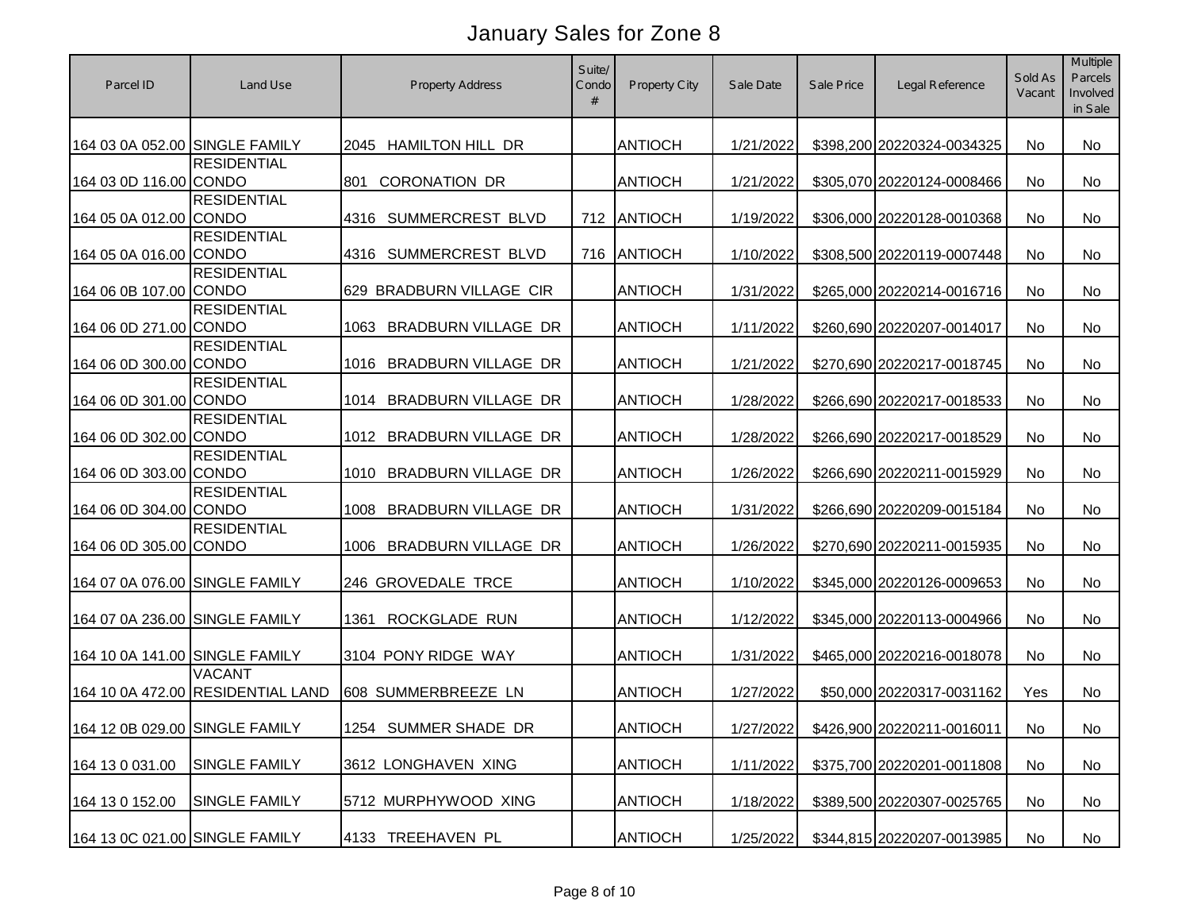| Parcel ID                      | Land Use                                           | <b>Property Address</b>            | Suite/<br>Condo<br># | Property City  | Sale Date | Sale Price | Legal Reference            | Sold As<br>Vacant | Multiple<br>Parcels<br>Involved<br>in Sale |
|--------------------------------|----------------------------------------------------|------------------------------------|----------------------|----------------|-----------|------------|----------------------------|-------------------|--------------------------------------------|
| 164 03 0A 052.00 SINGLE FAMILY |                                                    | <b>HAMILTON HILL DR</b><br>2045    |                      | <b>ANTIOCH</b> | 1/21/2022 |            | \$398,200 20220324-0034325 | <b>No</b>         | <b>No</b>                                  |
| 164 03 0D 116.00 CONDO         | <b>RESIDENTIAL</b>                                 | 801<br><b>CORONATION DR</b>        |                      | <b>ANTIOCH</b> | 1/21/2022 |            | \$305,070 20220124-0008466 | <b>No</b>         | <b>No</b>                                  |
| 164 05 0A 012.00 CONDO         | <b>RESIDENTIAL</b>                                 | SUMMERCREST BLVD<br>4316           | 712                  | ANTIOCH        | 1/19/2022 |            | \$306,000 20220128-0010368 | <b>No</b>         | <b>No</b>                                  |
| 164 05 0A 016.00 CONDO         | <b>RESIDENTIAL</b>                                 | SUMMERCREST BLVD<br>4316           | 716                  | ANTIOCH        | 1/10/2022 |            | \$308,500 20220119-0007448 | No                | No                                         |
| 164 06 0B 107.00 CONDO         | <b>RESIDENTIAL</b>                                 | 629 BRADBURN VILLAGE CIR           |                      | <b>ANTIOCH</b> | 1/31/2022 |            | \$265,000 20220214-0016716 | No                | <b>No</b>                                  |
| 164 06 0D 271.00 CONDO         | <b>RESIDENTIAL</b>                                 | <b>BRADBURN VILLAGE DR</b><br>1063 |                      | <b>ANTIOCH</b> | 1/11/2022 |            | \$260,690 20220207-0014017 | No                | <b>No</b>                                  |
| 164 06 0D 300.00 CONDO         | <b>RESIDENTIAL</b>                                 | <b>BRADBURN VILLAGE DR</b><br>1016 |                      | <b>ANTIOCH</b> | 1/21/2022 |            | \$270,690 20220217-0018745 | No                | No                                         |
| 164 06 0D 301.00 CONDO         | <b>RESIDENTIAL</b>                                 | <b>BRADBURN VILLAGE DR</b><br>1014 |                      | <b>ANTIOCH</b> | 1/28/2022 |            | \$266,690 20220217-0018533 | No                | <b>No</b>                                  |
| 164 06 0D 302.00 CONDO         | <b>RESIDENTIAL</b>                                 | <b>BRADBURN VILLAGE DR</b><br>1012 |                      | <b>ANTIOCH</b> | 1/28/2022 |            | \$266,690 20220217-0018529 | No                | <b>No</b>                                  |
| 164 06 0D 303.00 CONDO         | <b>RESIDENTIAL</b>                                 | <b>BRADBURN VILLAGE DR</b><br>1010 |                      | <b>ANTIOCH</b> | 1/26/2022 |            | \$266,690 20220211-0015929 | No                | No                                         |
| 164 06 0D 304.00 CONDO         | <b>RESIDENTIAL</b>                                 | BRADBURN VILLAGE DR<br>1008        |                      | <b>ANTIOCH</b> | 1/31/2022 |            | \$266,690 20220209-0015184 | No                | No                                         |
| 164 06 0D 305.00 CONDO         | <b>RESIDENTIAL</b>                                 | <b>BRADBURN VILLAGE DR</b><br>1006 |                      | <b>ANTIOCH</b> | 1/26/2022 |            | \$270,690 20220211-0015935 | <b>No</b>         | <b>No</b>                                  |
| 164 07 0A 076.00 SINGLE FAMILY |                                                    | 246 GROVEDALE TRCE                 |                      | <b>ANTIOCH</b> | 1/10/2022 |            | \$345,000 20220126-0009653 | No                | No                                         |
| 164 07 0A 236.00 SINGLE FAMILY |                                                    | ROCKGLADE RUN<br>1361              |                      | <b>ANTIOCH</b> | 1/12/2022 |            | \$345,000 20220113-0004966 | <b>No</b>         | <b>No</b>                                  |
| 164 10 0A 141.00 SINGLE FAMILY |                                                    | 3104 PONY RIDGE WAY                |                      | <b>ANTIOCH</b> | 1/31/2022 |            | \$465,000 20220216-0018078 | No.               | <b>No</b>                                  |
|                                | <b>VACANT</b><br>164 10 0A 472.00 RESIDENTIAL LAND | 608 SUMMERBREEZE LN                |                      | <b>ANTIOCH</b> | 1/27/2022 |            | \$50,000 20220317-0031162  | Yes               | No                                         |
|                                | 164 12 0B 029.00 SINGLE FAMILY                     | 1254 SUMMER SHADE DR               |                      | <b>ANTIOCH</b> | 1/27/2022 |            | \$426,900 20220211-0016011 | No                | No                                         |
| 164 13 0 031.00                | <b>SINGLE FAMILY</b>                               | 3612 LONGHAVEN XING                |                      | <b>ANTIOCH</b> | 1/11/2022 |            | \$375,700 20220201-0011808 | No                | No                                         |
| 164 13 0 152.00                | <b>SINGLE FAMILY</b>                               | 5712 MURPHYWOOD XING               |                      | <b>ANTIOCH</b> | 1/18/2022 |            | \$389,500 20220307-0025765 | No                | No                                         |
| 164 13 0C 021.00 SINGLE FAMILY |                                                    | 4133 TREEHAVEN PL                  |                      | <b>ANTIOCH</b> | 1/25/2022 |            | \$344,815 20220207-0013985 | No                | No                                         |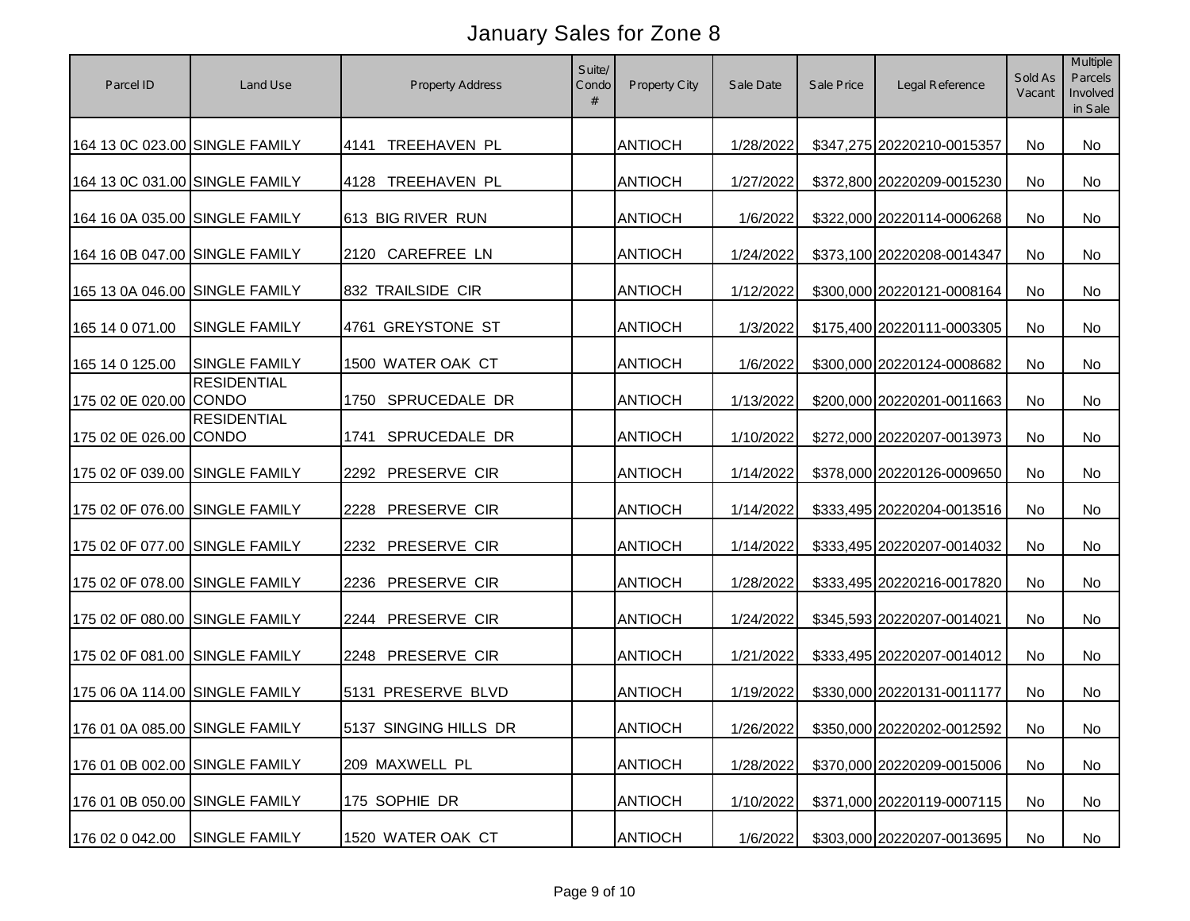| Parcel ID                      | Land Use                       | <b>Property Address</b> | Suite/<br>Condo<br># | Property City  | Sale Date | Sale Price | Legal Reference                      | Sold As<br>Vacant | Multiple<br>Parcels<br>Involved<br>in Sale |
|--------------------------------|--------------------------------|-------------------------|----------------------|----------------|-----------|------------|--------------------------------------|-------------------|--------------------------------------------|
| 164 13 0C 023.00 SINGLE FAMILY |                                | TREEHAVEN PL<br>4141    |                      | <b>ANTIOCH</b> | 1/28/2022 |            | \$347,275 20220210-0015357           | <b>No</b>         | No                                         |
| 164 13 0C 031.00 SINGLE FAMILY |                                | TREEHAVEN PL<br>4128    |                      | <b>ANTIOCH</b> | 1/27/2022 |            | \$372,800 20220209-0015230           | No                | <b>No</b>                                  |
| 164 16 0A 035.00 SINGLE FAMILY |                                | 613 BIG RIVER RUN       |                      | <b>ANTIOCH</b> | 1/6/2022  |            | \$322,000 20220114-0006268           | No                | <b>No</b>                                  |
| 164 16 0B 047.00 SINGLE FAMILY |                                | 2120 CAREFREE LN        |                      | <b>ANTIOCH</b> | 1/24/2022 |            | \$373,100 20220208-0014347           | No                | <b>No</b>                                  |
| 165 13 0A 046.00 SINGLE FAMILY |                                | 832 TRAILSIDE CIR       |                      | <b>ANTIOCH</b> | 1/12/2022 |            | \$300,000 20220121-0008164           | No                | No                                         |
| 165 14 0 071.00                | <b>SINGLE FAMILY</b>           | 4761 GREYSTONE ST       |                      | <b>ANTIOCH</b> | 1/3/2022  |            | \$175,400 20220111-0003305           | No                | No                                         |
| 165 14 0 125.00                | <b>SINGLE FAMILY</b>           | 1500 WATER OAK CT       |                      | <b>ANTIOCH</b> | 1/6/2022  |            | \$300,000 20220124-0008682           | No                | <b>No</b>                                  |
| 175 02 0E 020.00 CONDO         | <b>RESIDENTIAL</b>             | SPRUCEDALE DR<br>1750   |                      | <b>ANTIOCH</b> | 1/13/2022 |            | \$200,000 20220201-0011663           | No                | No                                         |
| 175 02 0E 026.00 CONDO         | <b>RESIDENTIAL</b>             | SPRUCEDALE DR<br>1741   |                      | <b>ANTIOCH</b> | 1/10/2022 |            | \$272,000 20220207-0013973           | No                | No                                         |
| 175 02 0F 039.00 SINGLE FAMILY |                                | 2292 PRESERVE CIR       |                      | <b>ANTIOCH</b> | 1/14/2022 |            | \$378,000 20220126-0009650           | <b>No</b>         | <b>No</b>                                  |
| 175 02 0F 076.00 SINGLE FAMILY |                                | PRESERVE CIR<br>2228    |                      | <b>ANTIOCH</b> | 1/14/2022 |            | \$333,495 20220204-0013516           | No                | No                                         |
| 175 02 0F 077.00 SINGLE FAMILY |                                | PRESERVE CIR<br>2232    |                      | <b>ANTIOCH</b> | 1/14/2022 |            | \$333,495 20220207-0014032           | No                | No                                         |
| 175 02 0F 078.00 SINGLE FAMILY |                                | PRESERVE CIR<br>2236    |                      | <b>ANTIOCH</b> | 1/28/2022 |            | \$333,495 20220216-0017820           | <b>No</b>         | No                                         |
| 175 02 0F 080.00 SINGLE FAMILY |                                | PRESERVE CIR<br>2244    |                      | <b>ANTIOCH</b> | 1/24/2022 |            | \$345,593 20220207-0014021           | <b>No</b>         | No                                         |
| 175 02 0F 081.00 SINGLE FAMILY |                                | PRESERVE CIR<br>2248    |                      | <b>ANTIOCH</b> | 1/21/2022 |            | \$333,495 20220207-0014012           | <b>No</b>         | No                                         |
| 175 06 0A 114.00 SINGLE FAMILY |                                | 5131 PRESERVE BLVD      |                      | <b>ANTIOCH</b> | 1/19/2022 |            | \$330,000 20220131-0011177           | No                | No                                         |
|                                | 176 01 0A 085.00 SINGLE FAMILY | 5137 SINGING HILLS DR   |                      | <b>ANTIOCH</b> |           |            | 1/26/2022 \$350,000 20220202-0012592 | No                | No                                         |
| 176 01 0B 002.00 SINGLE FAMILY |                                | 209 MAXWELL PL          |                      | <b>ANTIOCH</b> | 1/28/2022 |            | \$370,000 20220209-0015006           | No                | No                                         |
| 176 01 0B 050.00 SINGLE FAMILY |                                | 175 SOPHIE DR           |                      | <b>ANTIOCH</b> | 1/10/2022 |            | \$371,000 20220119-0007115           | No                | No                                         |
| 176 02 0 042.00                | <b>SINGLE FAMILY</b>           | 1520 WATER OAK CT       |                      | <b>ANTIOCH</b> | 1/6/2022  |            | \$303,000 20220207-0013695           | No                | No                                         |